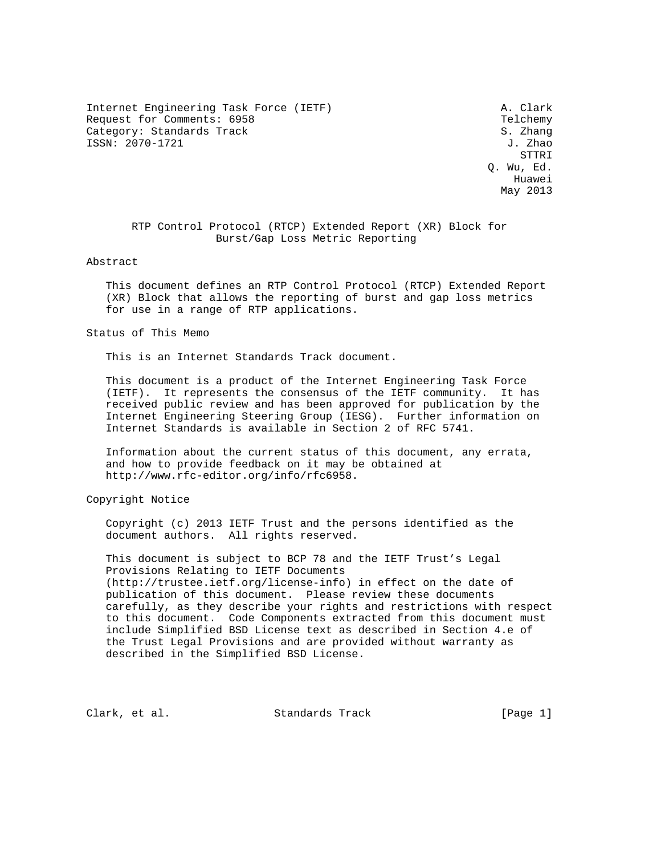Internet Engineering Task Force (IETF) A. Clark Request for Comments: 6958 Telchemy (Telchemy S. Zhang Category: Standards Track Category: Standards Track ISSN: 2070-1721 J. Zhao

 STTRI Q. Wu, Ed. Huawei May 2013

 RTP Control Protocol (RTCP) Extended Report (XR) Block for Burst/Gap Loss Metric Reporting

#### Abstract

 This document defines an RTP Control Protocol (RTCP) Extended Report (XR) Block that allows the reporting of burst and gap loss metrics for use in a range of RTP applications.

## Status of This Memo

This is an Internet Standards Track document.

 This document is a product of the Internet Engineering Task Force (IETF). It represents the consensus of the IETF community. It has received public review and has been approved for publication by the Internet Engineering Steering Group (IESG). Further information on Internet Standards is available in Section 2 of RFC 5741.

 Information about the current status of this document, any errata, and how to provide feedback on it may be obtained at http://www.rfc-editor.org/info/rfc6958.

Copyright Notice

 Copyright (c) 2013 IETF Trust and the persons identified as the document authors. All rights reserved.

 This document is subject to BCP 78 and the IETF Trust's Legal Provisions Relating to IETF Documents (http://trustee.ietf.org/license-info) in effect on the date of publication of this document. Please review these documents carefully, as they describe your rights and restrictions with respect to this document. Code Components extracted from this document must include Simplified BSD License text as described in Section 4.e of the Trust Legal Provisions and are provided without warranty as described in the Simplified BSD License.

Clark, et al. Standards Track [Page 1]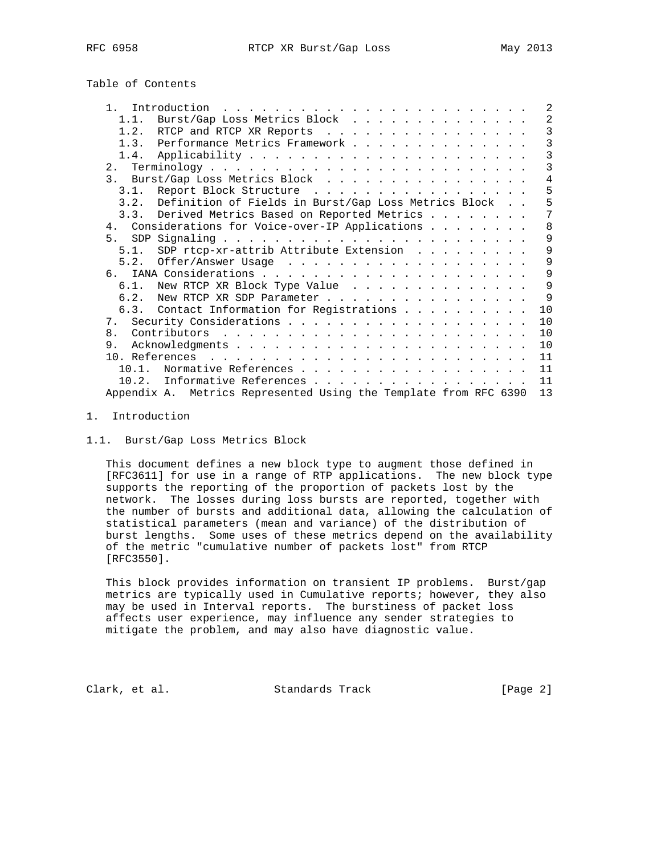| Introduction<br>the contract of the contract of the contract of the contract of the contract of the contract of the contract of | 2             |
|---------------------------------------------------------------------------------------------------------------------------------|---------------|
| Burst/Gap Loss Metrics Block<br>1.1.                                                                                            | 2             |
| 1.2. RTCP and RTCP XR Reports                                                                                                   | $\mathcal{E}$ |
| 1.3. Performance Metrics Framework                                                                                              | 3             |
|                                                                                                                                 | 3             |
|                                                                                                                                 | 3             |
| 3. Burst/Gap Loss Metrics Block                                                                                                 | 4             |
| Report Block Structure<br>3.1.                                                                                                  | 5             |
| 3.2. Definition of Fields in Burst/Gap Loss Metrics Block                                                                       | 5             |
| 3.3. Derived Metrics Based on Reported Metrics                                                                                  | 7             |
| 4. Considerations for Voice-over-IP Applications                                                                                | 8             |
|                                                                                                                                 | 9             |
| SDP rtcp-xr-attrib Attribute Extension $\ldots$<br>5.1.                                                                         | 9             |
| 5.2.                                                                                                                            | 9             |
|                                                                                                                                 | 9             |
| 6.1. New RTCP XR Block Type Value                                                                                               | 9             |
| 6.2. New RTCP XR SDP Parameter                                                                                                  | $\mathsf{Q}$  |
| 6.3. Contact Information for Registrations                                                                                      | 10            |
|                                                                                                                                 | 10            |
| 8.                                                                                                                              | 10            |
| 9.                                                                                                                              | 10            |
|                                                                                                                                 | 11            |
| Normative References<br>10 1                                                                                                    | 11            |
| Informative References<br>10.2.                                                                                                 | 11            |
| Appendix A. Metrics Represented Using the Template from RFC 6390                                                                | 13            |
|                                                                                                                                 |               |

#### 1. Introduction

#### 1.1. Burst/Gap Loss Metrics Block

 This document defines a new block type to augment those defined in [RFC3611] for use in a range of RTP applications. The new block type supports the reporting of the proportion of packets lost by the network. The losses during loss bursts are reported, together with the number of bursts and additional data, allowing the calculation of statistical parameters (mean and variance) of the distribution of burst lengths. Some uses of these metrics depend on the availability of the metric "cumulative number of packets lost" from RTCP [RFC3550].

 This block provides information on transient IP problems. Burst/gap metrics are typically used in Cumulative reports; however, they also may be used in Interval reports. The burstiness of packet loss affects user experience, may influence any sender strategies to mitigate the problem, and may also have diagnostic value.

Clark, et al. Standards Track [Page 2]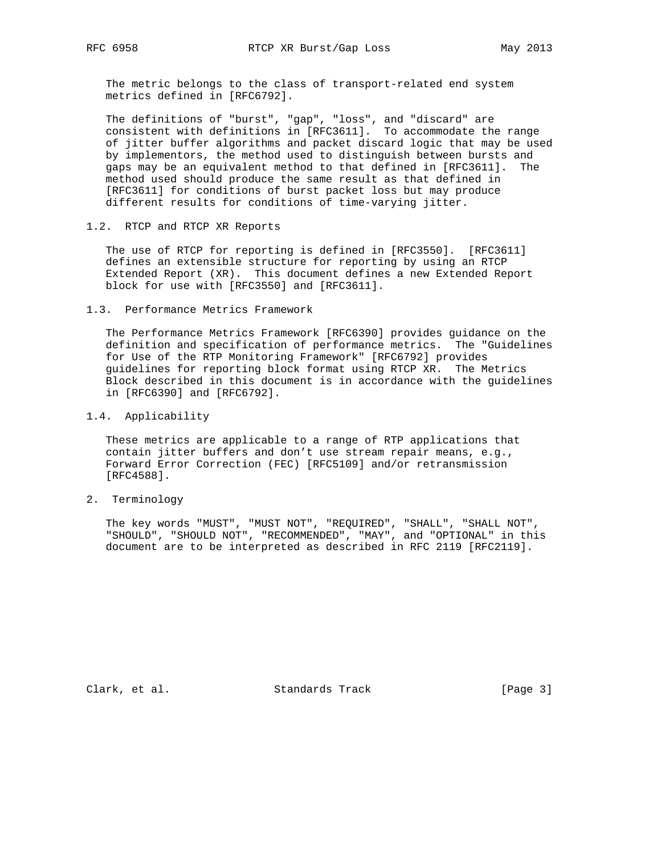The metric belongs to the class of transport-related end system metrics defined in [RFC6792].

 The definitions of "burst", "gap", "loss", and "discard" are consistent with definitions in [RFC3611]. To accommodate the range of jitter buffer algorithms and packet discard logic that may be used by implementors, the method used to distinguish between bursts and gaps may be an equivalent method to that defined in [RFC3611]. The method used should produce the same result as that defined in [RFC3611] for conditions of burst packet loss but may produce different results for conditions of time-varying jitter.

1.2. RTCP and RTCP XR Reports

 The use of RTCP for reporting is defined in [RFC3550]. [RFC3611] defines an extensible structure for reporting by using an RTCP Extended Report (XR). This document defines a new Extended Report block for use with [RFC3550] and [RFC3611].

1.3. Performance Metrics Framework

 The Performance Metrics Framework [RFC6390] provides guidance on the definition and specification of performance metrics. The "Guidelines for Use of the RTP Monitoring Framework" [RFC6792] provides guidelines for reporting block format using RTCP XR. The Metrics Block described in this document is in accordance with the guidelines in [RFC6390] and [RFC6792].

1.4. Applicability

 These metrics are applicable to a range of RTP applications that contain jitter buffers and don't use stream repair means, e.g., Forward Error Correction (FEC) [RFC5109] and/or retransmission [RFC4588].

2. Terminology

 The key words "MUST", "MUST NOT", "REQUIRED", "SHALL", "SHALL NOT", "SHOULD", "SHOULD NOT", "RECOMMENDED", "MAY", and "OPTIONAL" in this document are to be interpreted as described in RFC 2119 [RFC2119].

Clark, et al. Standards Track [Page 3]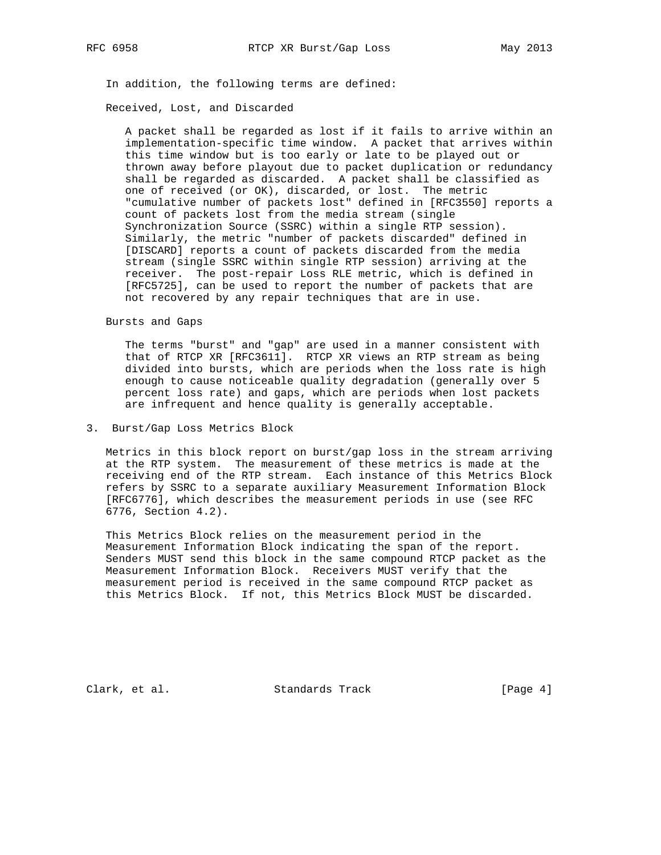In addition, the following terms are defined:

## Received, Lost, and Discarded

 A packet shall be regarded as lost if it fails to arrive within an implementation-specific time window. A packet that arrives within this time window but is too early or late to be played out or thrown away before playout due to packet duplication or redundancy shall be regarded as discarded. A packet shall be classified as one of received (or OK), discarded, or lost. The metric "cumulative number of packets lost" defined in [RFC3550] reports a count of packets lost from the media stream (single Synchronization Source (SSRC) within a single RTP session). Similarly, the metric "number of packets discarded" defined in [DISCARD] reports a count of packets discarded from the media stream (single SSRC within single RTP session) arriving at the receiver. The post-repair Loss RLE metric, which is defined in [RFC5725], can be used to report the number of packets that are not recovered by any repair techniques that are in use.

Bursts and Gaps

 The terms "burst" and "gap" are used in a manner consistent with that of RTCP XR [RFC3611]. RTCP XR views an RTP stream as being divided into bursts, which are periods when the loss rate is high enough to cause noticeable quality degradation (generally over 5 percent loss rate) and gaps, which are periods when lost packets are infrequent and hence quality is generally acceptable.

# 3. Burst/Gap Loss Metrics Block

 Metrics in this block report on burst/gap loss in the stream arriving at the RTP system. The measurement of these metrics is made at the receiving end of the RTP stream. Each instance of this Metrics Block refers by SSRC to a separate auxiliary Measurement Information Block [RFC6776], which describes the measurement periods in use (see RFC 6776, Section 4.2).

 This Metrics Block relies on the measurement period in the Measurement Information Block indicating the span of the report. Senders MUST send this block in the same compound RTCP packet as the Measurement Information Block. Receivers MUST verify that the measurement period is received in the same compound RTCP packet as this Metrics Block. If not, this Metrics Block MUST be discarded.

Clark, et al. Standards Track [Page 4]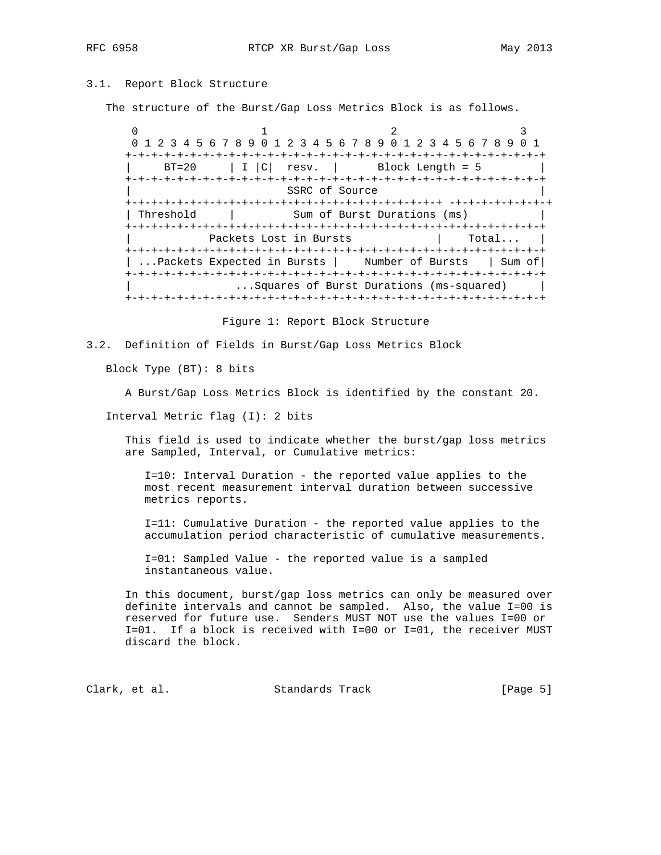# 3.1. Report Block Structure

The structure of the Burst/Gap Loss Metrics Block is as follows.

 $0$  1 2 3 0 1 2 3 4 5 6 7 8 9 0 1 2 3 4 5 6 7 8 9 0 1 2 3 4 5 6 7 8 9 0 1 +-+-+-+-+-+-+-+-+-+-+-+-+-+-+-+-+-+-+-+-+-+-+-+-+-+-+-+-+-+-+-+-+  $BT=20$  | I  $|C|$  resv. | Block Length = 5 +-+-+-+-+-+-+-+-+-+-+-+-+-+-+-+-+-+-+-+-+-+-+-+-+-+-+-+-+-+-+-+-+ SSRC of Source +-+-+-+-+-+-+-+-+-+-+-+-+-+-+-+-+-+-+-+-+-+-+-+-+ -+-+-+-+-+-+-+-+ | Threshold | Sum of Burst Durations (ms) +-+-+-+-+-+-+-+-+-+-+-+-+-+-+-+-+-+-+-+-+-+-+-+-+-+-+-+-+-+-+-+-+ Packets Lost in Bursts [2015] Total... +-+-+-+-+-+-+-+-+-+-+-+-+-+-+-+-+-+-+-+-+-+-+-+-+-+-+-+-+-+-+-+-+ | ...Packets Expected in Bursts | Number of Bursts | Sum of| +-+-+-+-+-+-+-+-+-+-+-+-+-+-+-+-+-+-+-+-+-+-+-+-+-+-+-+-+-+-+-+-+ ...Squares of Burst Durations (ms-squared) +-+-+-+-+-+-+-+-+-+-+-+-+-+-+-+-+-+-+-+-+-+-+-+-+-+-+-+-+-+-+-+-+

Figure 1: Report Block Structure

3.2. Definition of Fields in Burst/Gap Loss Metrics Block

Block Type (BT): 8 bits

A Burst/Gap Loss Metrics Block is identified by the constant 20.

Interval Metric flag (I): 2 bits

 This field is used to indicate whether the burst/gap loss metrics are Sampled, Interval, or Cumulative metrics:

 I=10: Interval Duration - the reported value applies to the most recent measurement interval duration between successive metrics reports.

 I=11: Cumulative Duration - the reported value applies to the accumulation period characteristic of cumulative measurements.

 I=01: Sampled Value - the reported value is a sampled instantaneous value.

 In this document, burst/gap loss metrics can only be measured over definite intervals and cannot be sampled. Also, the value I=00 is reserved for future use. Senders MUST NOT use the values I=00 or I=01. If a block is received with I=00 or I=01, the receiver MUST discard the block.

Clark, et al. Standards Track [Page 5]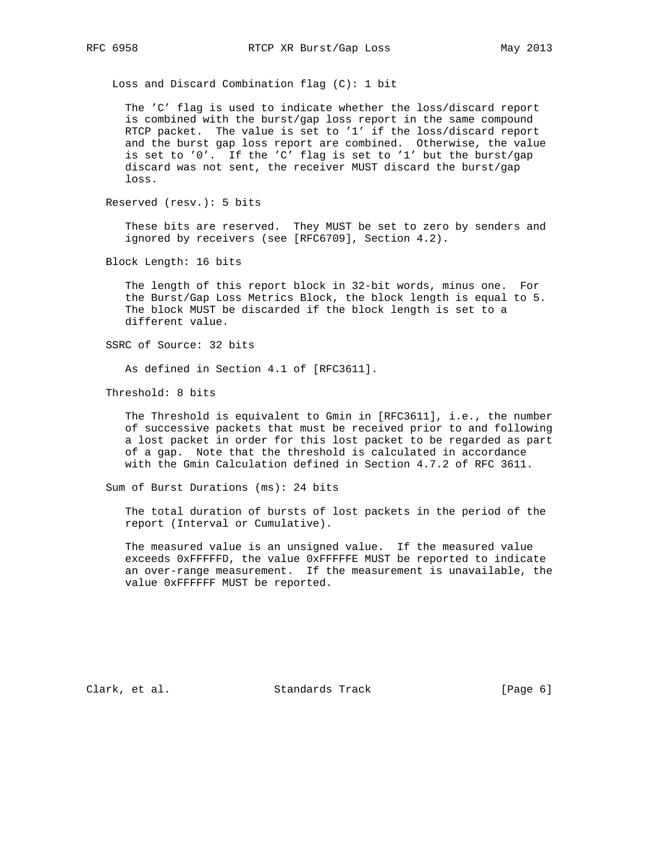Loss and Discard Combination flag (C): 1 bit

 The 'C' flag is used to indicate whether the loss/discard report is combined with the burst/gap loss report in the same compound RTCP packet. The value is set to '1' if the loss/discard report and the burst gap loss report are combined. Otherwise, the value is set to '0'. If the 'C' flag is set to '1' but the burst/gap discard was not sent, the receiver MUST discard the burst/gap loss.

Reserved (resv.): 5 bits

 These bits are reserved. They MUST be set to zero by senders and ignored by receivers (see [RFC6709], Section 4.2).

Block Length: 16 bits

 The length of this report block in 32-bit words, minus one. For the Burst/Gap Loss Metrics Block, the block length is equal to 5. The block MUST be discarded if the block length is set to a different value.

SSRC of Source: 32 bits

As defined in Section 4.1 of [RFC3611].

Threshold: 8 bits

 The Threshold is equivalent to Gmin in [RFC3611], i.e., the number of successive packets that must be received prior to and following a lost packet in order for this lost packet to be regarded as part of a gap. Note that the threshold is calculated in accordance with the Gmin Calculation defined in Section 4.7.2 of RFC 3611.

Sum of Burst Durations (ms): 24 bits

 The total duration of bursts of lost packets in the period of the report (Interval or Cumulative).

 The measured value is an unsigned value. If the measured value exceeds 0xFFFFFD, the value 0xFFFFFE MUST be reported to indicate an over-range measurement. If the measurement is unavailable, the value 0xFFFFFF MUST be reported.

Clark, et al. Standards Track [Page 6]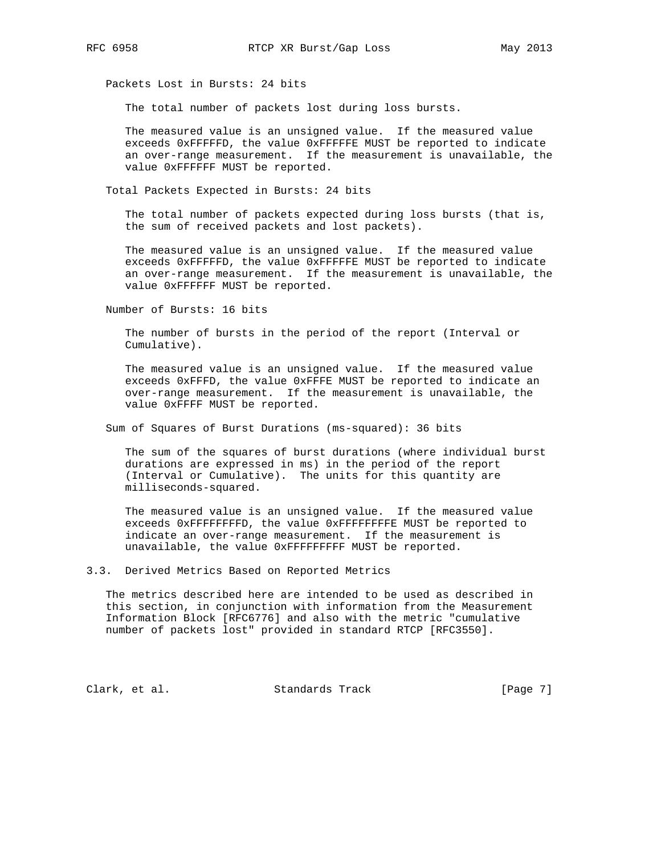Packets Lost in Bursts: 24 bits

The total number of packets lost during loss bursts.

 The measured value is an unsigned value. If the measured value exceeds 0xFFFFFD, the value 0xFFFFFE MUST be reported to indicate an over-range measurement. If the measurement is unavailable, the value 0xFFFFFF MUST be reported.

Total Packets Expected in Bursts: 24 bits

 The total number of packets expected during loss bursts (that is, the sum of received packets and lost packets).

 The measured value is an unsigned value. If the measured value exceeds 0xFFFFFD, the value 0xFFFFFE MUST be reported to indicate an over-range measurement. If the measurement is unavailable, the value 0xFFFFFF MUST be reported.

Number of Bursts: 16 bits

 The number of bursts in the period of the report (Interval or Cumulative).

 The measured value is an unsigned value. If the measured value exceeds 0xFFFD, the value 0xFFFE MUST be reported to indicate an over-range measurement. If the measurement is unavailable, the value 0xFFFF MUST be reported.

Sum of Squares of Burst Durations (ms-squared): 36 bits

 The sum of the squares of burst durations (where individual burst durations are expressed in ms) in the period of the report (Interval or Cumulative). The units for this quantity are milliseconds-squared.

 The measured value is an unsigned value. If the measured value exceeds 0xFFFFFFFFD, the value 0xFFFFFFFFE MUST be reported to indicate an over-range measurement. If the measurement is unavailable, the value 0xFFFFFFFFF MUST be reported.

3.3. Derived Metrics Based on Reported Metrics

 The metrics described here are intended to be used as described in this section, in conjunction with information from the Measurement Information Block [RFC6776] and also with the metric "cumulative number of packets lost" provided in standard RTCP [RFC3550].

Clark, et al. Standards Track [Page 7]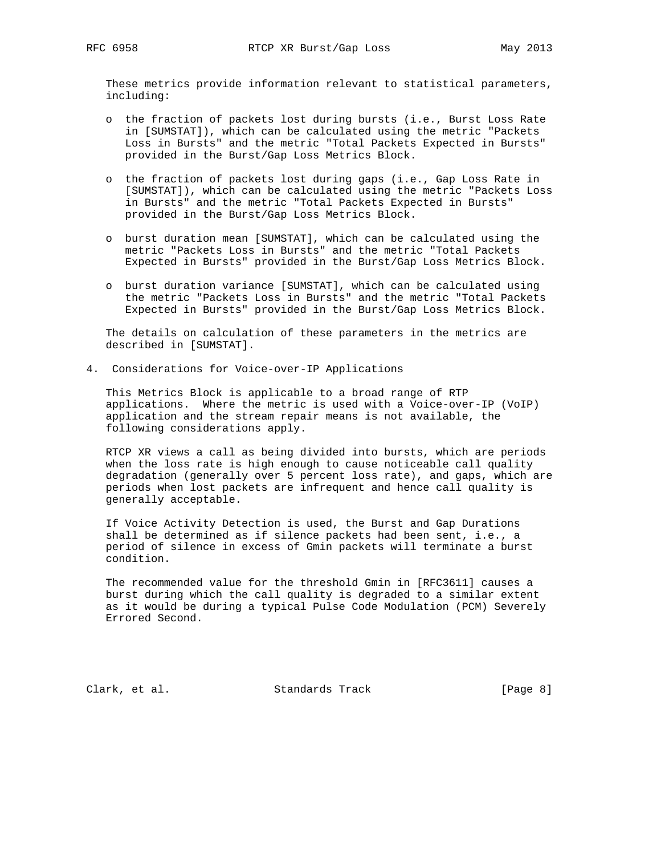These metrics provide information relevant to statistical parameters, including:

- o the fraction of packets lost during bursts (i.e., Burst Loss Rate in [SUMSTAT]), which can be calculated using the metric "Packets Loss in Bursts" and the metric "Total Packets Expected in Bursts" provided in the Burst/Gap Loss Metrics Block.
- o the fraction of packets lost during gaps (i.e., Gap Loss Rate in [SUMSTAT]), which can be calculated using the metric "Packets Loss in Bursts" and the metric "Total Packets Expected in Bursts" provided in the Burst/Gap Loss Metrics Block.
- o burst duration mean [SUMSTAT], which can be calculated using the metric "Packets Loss in Bursts" and the metric "Total Packets Expected in Bursts" provided in the Burst/Gap Loss Metrics Block.
- o burst duration variance [SUMSTAT], which can be calculated using the metric "Packets Loss in Bursts" and the metric "Total Packets Expected in Bursts" provided in the Burst/Gap Loss Metrics Block.

 The details on calculation of these parameters in the metrics are described in [SUMSTAT].

4. Considerations for Voice-over-IP Applications

 This Metrics Block is applicable to a broad range of RTP applications. Where the metric is used with a Voice-over-IP (VoIP) application and the stream repair means is not available, the following considerations apply.

 RTCP XR views a call as being divided into bursts, which are periods when the loss rate is high enough to cause noticeable call quality degradation (generally over 5 percent loss rate), and gaps, which are periods when lost packets are infrequent and hence call quality is generally acceptable.

 If Voice Activity Detection is used, the Burst and Gap Durations shall be determined as if silence packets had been sent, i.e., a period of silence in excess of Gmin packets will terminate a burst condition.

 The recommended value for the threshold Gmin in [RFC3611] causes a burst during which the call quality is degraded to a similar extent as it would be during a typical Pulse Code Modulation (PCM) Severely Errored Second.

Clark, et al. Standards Track [Page 8]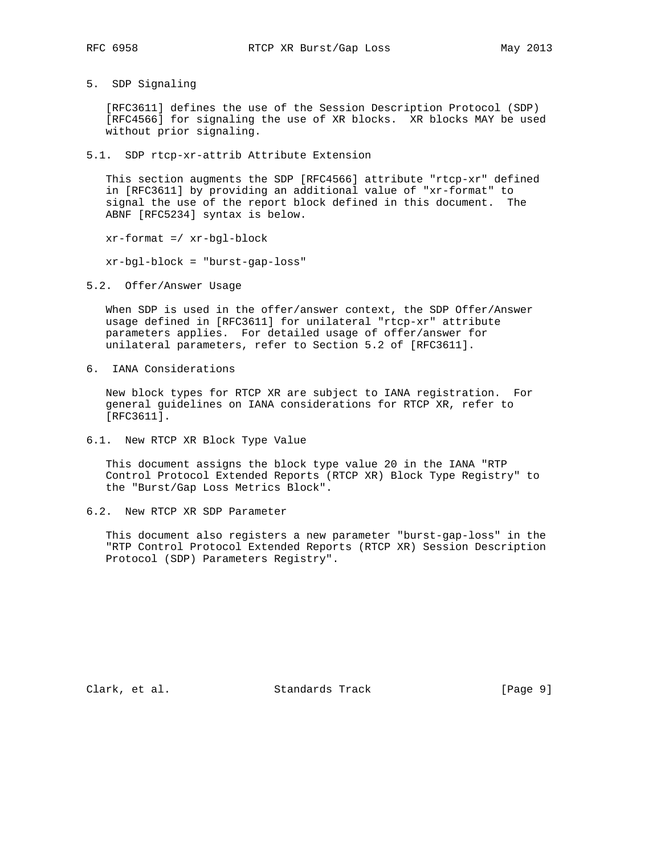5. SDP Signaling

 [RFC3611] defines the use of the Session Description Protocol (SDP) [RFC4566] for signaling the use of XR blocks. XR blocks MAY be used without prior signaling.

5.1. SDP rtcp-xr-attrib Attribute Extension

 This section augments the SDP [RFC4566] attribute "rtcp-xr" defined in [RFC3611] by providing an additional value of "xr-format" to signal the use of the report block defined in this document. The ABNF [RFC5234] syntax is below.

xr-format =/ xr-bgl-block

xr-bgl-block = "burst-gap-loss"

5.2. Offer/Answer Usage

 When SDP is used in the offer/answer context, the SDP Offer/Answer usage defined in [RFC3611] for unilateral "rtcp-xr" attribute parameters applies. For detailed usage of offer/answer for unilateral parameters, refer to Section 5.2 of [RFC3611].

6. IANA Considerations

 New block types for RTCP XR are subject to IANA registration. For general guidelines on IANA considerations for RTCP XR, refer to [RFC3611].

6.1. New RTCP XR Block Type Value

 This document assigns the block type value 20 in the IANA "RTP Control Protocol Extended Reports (RTCP XR) Block Type Registry" to the "Burst/Gap Loss Metrics Block".

6.2. New RTCP XR SDP Parameter

 This document also registers a new parameter "burst-gap-loss" in the "RTP Control Protocol Extended Reports (RTCP XR) Session Description Protocol (SDP) Parameters Registry".

Clark, et al. Standards Track [Page 9]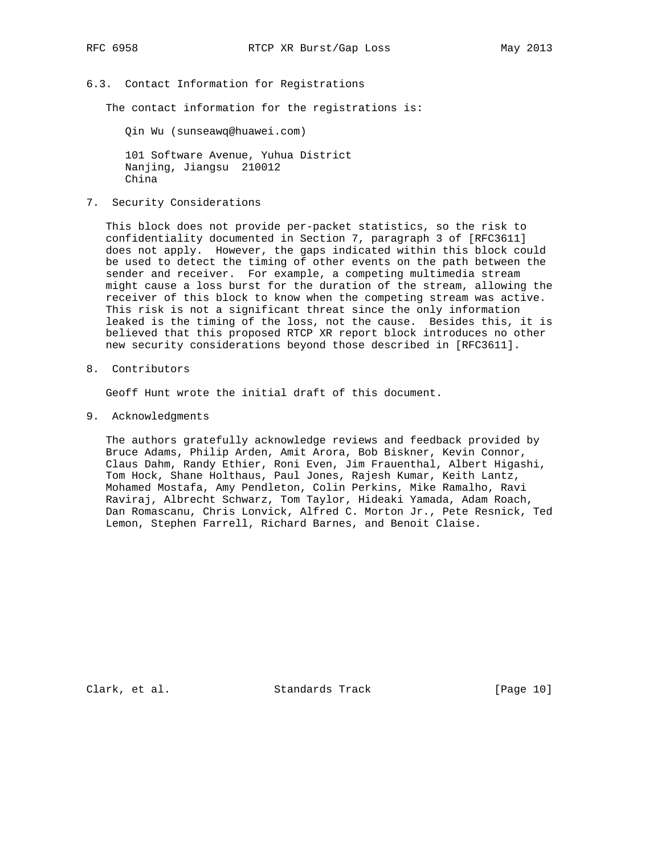6.3. Contact Information for Registrations

The contact information for the registrations is:

Qin Wu (sunseawq@huawei.com)

 101 Software Avenue, Yuhua District Nanjing, Jiangsu 210012 China

7. Security Considerations

 This block does not provide per-packet statistics, so the risk to confidentiality documented in Section 7, paragraph 3 of [RFC3611] does not apply. However, the gaps indicated within this block could be used to detect the timing of other events on the path between the sender and receiver. For example, a competing multimedia stream might cause a loss burst for the duration of the stream, allowing the receiver of this block to know when the competing stream was active. This risk is not a significant threat since the only information leaked is the timing of the loss, not the cause. Besides this, it is believed that this proposed RTCP XR report block introduces no other new security considerations beyond those described in [RFC3611].

8. Contributors

Geoff Hunt wrote the initial draft of this document.

9. Acknowledgments

 The authors gratefully acknowledge reviews and feedback provided by Bruce Adams, Philip Arden, Amit Arora, Bob Biskner, Kevin Connor, Claus Dahm, Randy Ethier, Roni Even, Jim Frauenthal, Albert Higashi, Tom Hock, Shane Holthaus, Paul Jones, Rajesh Kumar, Keith Lantz, Mohamed Mostafa, Amy Pendleton, Colin Perkins, Mike Ramalho, Ravi Raviraj, Albrecht Schwarz, Tom Taylor, Hideaki Yamada, Adam Roach, Dan Romascanu, Chris Lonvick, Alfred C. Morton Jr., Pete Resnick, Ted Lemon, Stephen Farrell, Richard Barnes, and Benoit Claise.

Clark, et al. Standards Track [Page 10]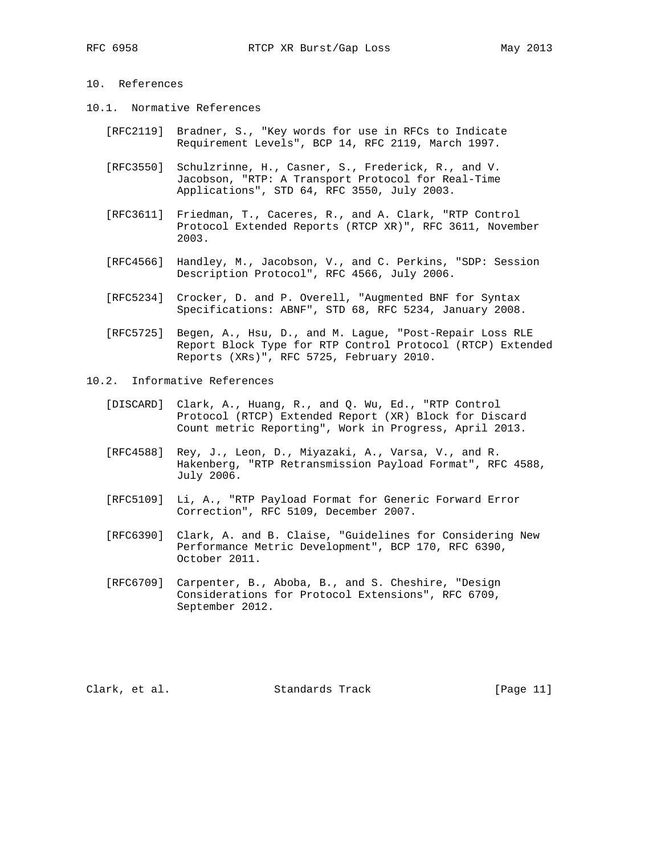# 10. References

- 10.1. Normative References
	- [RFC2119] Bradner, S., "Key words for use in RFCs to Indicate Requirement Levels", BCP 14, RFC 2119, March 1997.
	- [RFC3550] Schulzrinne, H., Casner, S., Frederick, R., and V. Jacobson, "RTP: A Transport Protocol for Real-Time Applications", STD 64, RFC 3550, July 2003.
	- [RFC3611] Friedman, T., Caceres, R., and A. Clark, "RTP Control Protocol Extended Reports (RTCP XR)", RFC 3611, November 2003.
	- [RFC4566] Handley, M., Jacobson, V., and C. Perkins, "SDP: Session Description Protocol", RFC 4566, July 2006.
	- [RFC5234] Crocker, D. and P. Overell, "Augmented BNF for Syntax Specifications: ABNF", STD 68, RFC 5234, January 2008.
	- [RFC5725] Begen, A., Hsu, D., and M. Lague, "Post-Repair Loss RLE Report Block Type for RTP Control Protocol (RTCP) Extended Reports (XRs)", RFC 5725, February 2010.
- 10.2. Informative References
	- [DISCARD] Clark, A., Huang, R., and Q. Wu, Ed., "RTP Control Protocol (RTCP) Extended Report (XR) Block for Discard Count metric Reporting", Work in Progress, April 2013.
	- [RFC4588] Rey, J., Leon, D., Miyazaki, A., Varsa, V., and R. Hakenberg, "RTP Retransmission Payload Format", RFC 4588, July 2006.
	- [RFC5109] Li, A., "RTP Payload Format for Generic Forward Error Correction", RFC 5109, December 2007.
	- [RFC6390] Clark, A. and B. Claise, "Guidelines for Considering New Performance Metric Development", BCP 170, RFC 6390, October 2011.
	- [RFC6709] Carpenter, B., Aboba, B., and S. Cheshire, "Design Considerations for Protocol Extensions", RFC 6709, September 2012.

Clark, et al. Standards Track [Page 11]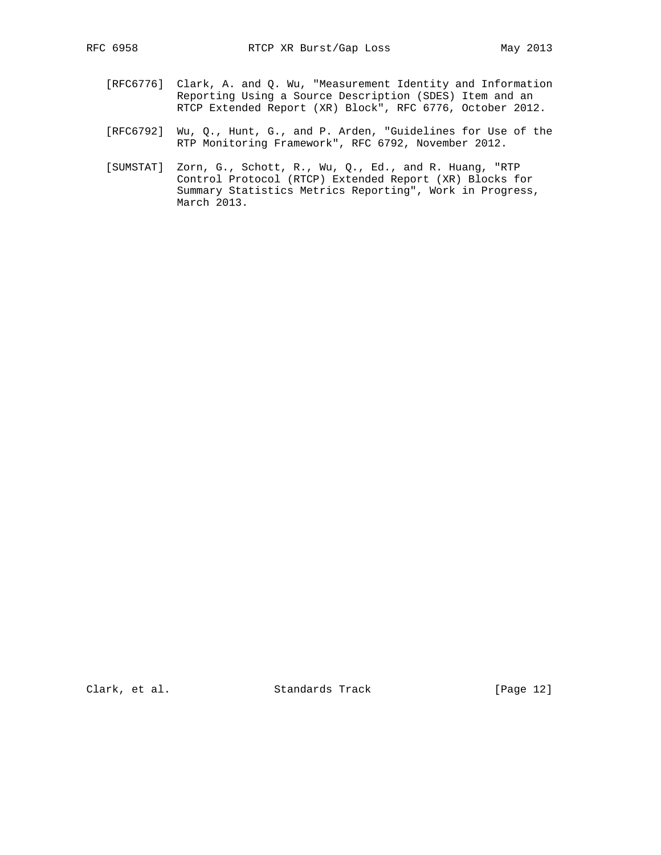- [RFC6776] Clark, A. and Q. Wu, "Measurement Identity and Information Reporting Using a Source Description (SDES) Item and an RTCP Extended Report (XR) Block", RFC 6776, October 2012.
- [RFC6792] Wu, Q., Hunt, G., and P. Arden, "Guidelines for Use of the RTP Monitoring Framework", RFC 6792, November 2012.
- [SUMSTAT] Zorn, G., Schott, R., Wu, Q., Ed., and R. Huang, "RTP Control Protocol (RTCP) Extended Report (XR) Blocks for Summary Statistics Metrics Reporting", Work in Progress, March 2013.

Clark, et al. Standards Track [Page 12]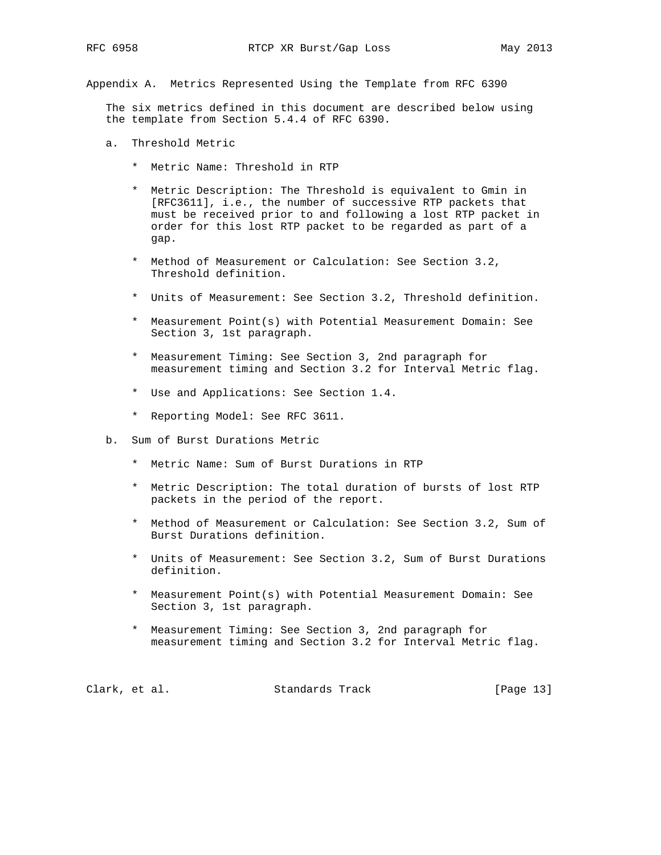Appendix A. Metrics Represented Using the Template from RFC 6390

 The six metrics defined in this document are described below using the template from Section 5.4.4 of RFC 6390.

- a. Threshold Metric
	- \* Metric Name: Threshold in RTP
	- \* Metric Description: The Threshold is equivalent to Gmin in [RFC3611], i.e., the number of successive RTP packets that must be received prior to and following a lost RTP packet in order for this lost RTP packet to be regarded as part of a gap.
	- \* Method of Measurement or Calculation: See Section 3.2, Threshold definition.
	- \* Units of Measurement: See Section 3.2, Threshold definition.
	- \* Measurement Point(s) with Potential Measurement Domain: See Section 3, 1st paragraph.
	- \* Measurement Timing: See Section 3, 2nd paragraph for measurement timing and Section 3.2 for Interval Metric flag.
	- \* Use and Applications: See Section 1.4.
	- \* Reporting Model: See RFC 3611.
- b. Sum of Burst Durations Metric
	- \* Metric Name: Sum of Burst Durations in RTP
	- \* Metric Description: The total duration of bursts of lost RTP packets in the period of the report.
	- \* Method of Measurement or Calculation: See Section 3.2, Sum of Burst Durations definition.
	- \* Units of Measurement: See Section 3.2, Sum of Burst Durations definition.
	- \* Measurement Point(s) with Potential Measurement Domain: See Section 3, 1st paragraph.
	- \* Measurement Timing: See Section 3, 2nd paragraph for measurement timing and Section 3.2 for Interval Metric flag.

| Clark, et al.<br>Standards Track | [Page 13] |  |  |
|----------------------------------|-----------|--|--|
|----------------------------------|-----------|--|--|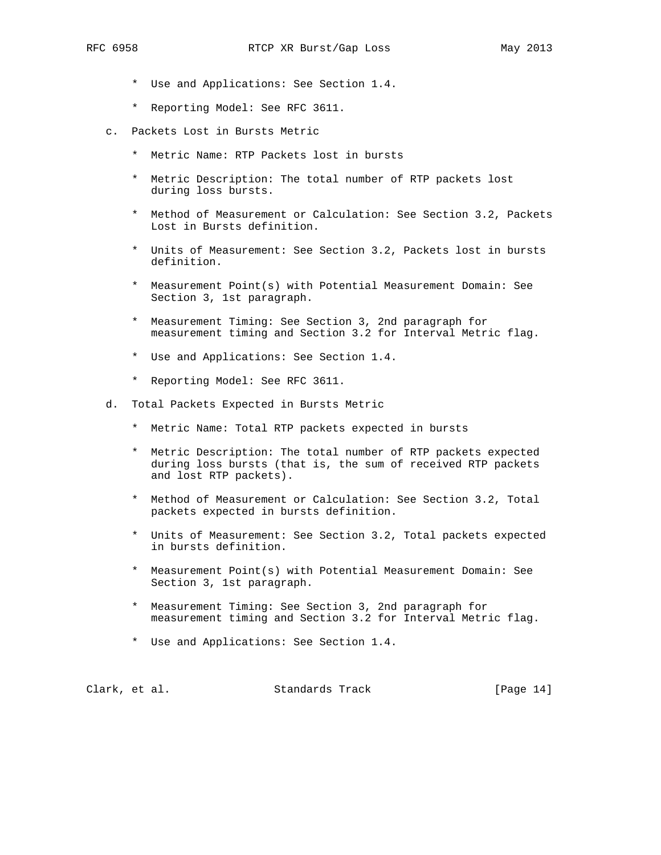- - \* Use and Applications: See Section 1.4.
	- \* Reporting Model: See RFC 3611.
	- c. Packets Lost in Bursts Metric
		- \* Metric Name: RTP Packets lost in bursts
		- \* Metric Description: The total number of RTP packets lost during loss bursts.
		- \* Method of Measurement or Calculation: See Section 3.2, Packets Lost in Bursts definition.
		- \* Units of Measurement: See Section 3.2, Packets lost in bursts definition.
		- \* Measurement Point(s) with Potential Measurement Domain: See Section 3, 1st paragraph.
		- \* Measurement Timing: See Section 3, 2nd paragraph for measurement timing and Section 3.2 for Interval Metric flag.
		- \* Use and Applications: See Section 1.4.
		- \* Reporting Model: See RFC 3611.
	- d. Total Packets Expected in Bursts Metric
		- \* Metric Name: Total RTP packets expected in bursts
		- \* Metric Description: The total number of RTP packets expected during loss bursts (that is, the sum of received RTP packets and lost RTP packets).
		- \* Method of Measurement or Calculation: See Section 3.2, Total packets expected in bursts definition.
		- \* Units of Measurement: See Section 3.2, Total packets expected in bursts definition.
		- \* Measurement Point(s) with Potential Measurement Domain: See Section 3, 1st paragraph.
		- \* Measurement Timing: See Section 3, 2nd paragraph for measurement timing and Section 3.2 for Interval Metric flag.
		- \* Use and Applications: See Section 1.4.

| Clark, et al.<br>Standards Track | [Page $14$ ] |  |
|----------------------------------|--------------|--|
|----------------------------------|--------------|--|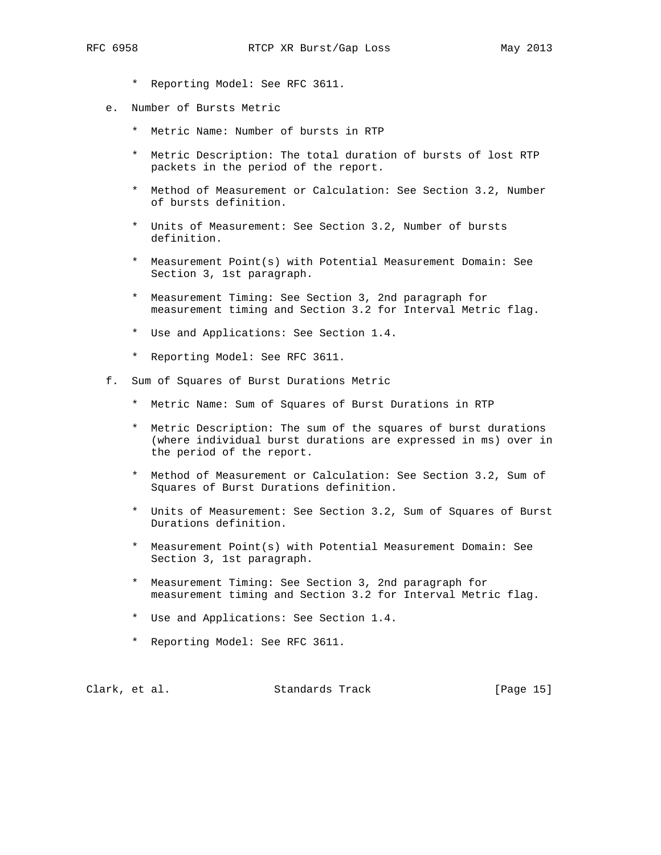- \* Reporting Model: See RFC 3611.
- e. Number of Bursts Metric
	- \* Metric Name: Number of bursts in RTP
	- \* Metric Description: The total duration of bursts of lost RTP packets in the period of the report.
	- \* Method of Measurement or Calculation: See Section 3.2, Number of bursts definition.
	- \* Units of Measurement: See Section 3.2, Number of bursts definition.
	- \* Measurement Point(s) with Potential Measurement Domain: See Section 3, 1st paragraph.
	- \* Measurement Timing: See Section 3, 2nd paragraph for measurement timing and Section 3.2 for Interval Metric flag.
	- \* Use and Applications: See Section 1.4.
	- \* Reporting Model: See RFC 3611.
- f. Sum of Squares of Burst Durations Metric
	- \* Metric Name: Sum of Squares of Burst Durations in RTP
	- \* Metric Description: The sum of the squares of burst durations (where individual burst durations are expressed in ms) over in the period of the report.
	- \* Method of Measurement or Calculation: See Section 3.2, Sum of Squares of Burst Durations definition.
	- \* Units of Measurement: See Section 3.2, Sum of Squares of Burst Durations definition.
	- \* Measurement Point(s) with Potential Measurement Domain: See Section 3, 1st paragraph.
	- \* Measurement Timing: See Section 3, 2nd paragraph for measurement timing and Section 3.2 for Interval Metric flag.
	- \* Use and Applications: See Section 1.4.
	- \* Reporting Model: See RFC 3611.

|  | Clark, et al. | Standards Track | [Page 15] |  |
|--|---------------|-----------------|-----------|--|
|--|---------------|-----------------|-----------|--|